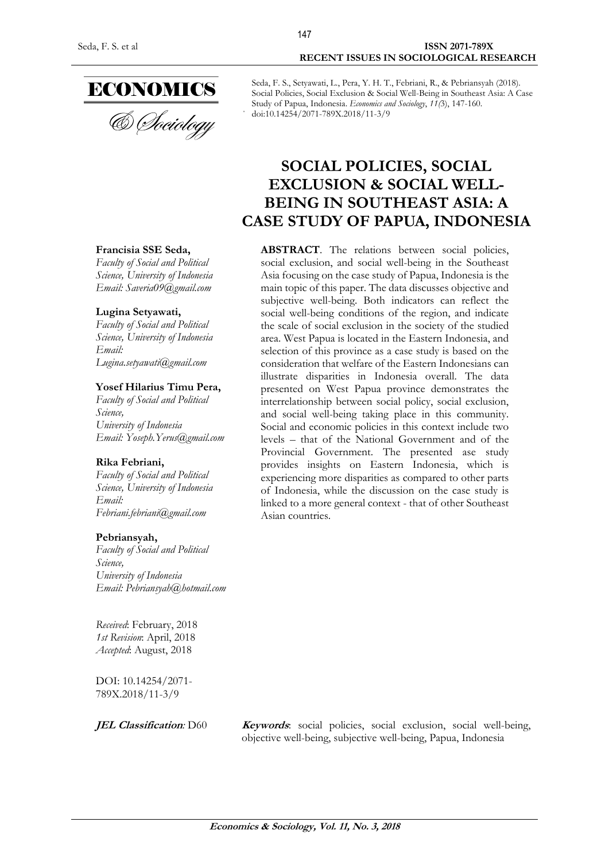

& Sociology

## **Francisia SSE Seda,**

*Faculty of Social and Political Science, University of Indonesia Email: Saveria09@gmail.com*

#### **Lugina Setyawati,**

*Faculty of Social and Political Science, University of Indonesia Email: Lugina.setyawati@gmail.com*

#### **Yosef Hilarius Timu Pera,**

*Faculty of Social and Political Science, University of Indonesia Email: Yoseph.Yerus@gmail.com*

#### **Rika Febriani,**

*Faculty of Social and Political Science, University of Indonesia Email: Febriani.febriani@gmail.com*

#### **Pebriansyah,**

*Faculty of Social and Political Science, University of Indonesia Email: Pebriansyah@hotmail.com*

*Received*: February, 2018 *1st Revision*: April, 2018 *Accepted*: August, 2018

DOI: 10.14254/2071- 789X.2018/11-3/9

Seda, F. S., Setyawati, L., Pera, Y. H. T., Febriani, R., & Pebriansyah (2018). Social Policies, Social Exclusion & Social Well-Being in Southeast Asia: A Case Study of Papua, Indonesia. *Economics and Sociology*, *11(*3), 147-160. doi:10.14254/2071-789X.2018/11-3/9

# **SOCIAL POLICIES, SOCIAL EXCLUSION & SOCIAL WELL-BEING IN SOUTHEAST ASIA: A CASE STUDY OF PAPUA, INDONESIA**

**ABSTRACT**. The relations between social policies, social exclusion, and social well-being in the Southeast Asia focusing on the case study of Papua, Indonesia is the main topic of this paper. The data discusses objective and subjective well-being. Both indicators can reflect the social well-being conditions of the region, and indicate the scale of social exclusion in the society of the studied area. West Papua is located in the Eastern Indonesia, and selection of this province as a case study is based on the consideration that welfare of the Eastern Indonesians can illustrate disparities in Indonesia overall. The data presented on West Papua province demonstrates the interrelationship between social policy, social exclusion, and social well-being taking place in this community. Social and economic policies in this context include two levels – that of the National Government and of the Provincial Government. The presented ase study provides insights on Eastern Indonesia, which is experiencing more disparities as compared to other parts of Indonesia, while the discussion on the case study is linked to a more general context - that of other Southeast Asian countries.

**JEL Classification**: D60 **Keywords**: social policies, social exclusion, social well-being, objective well-being, subjective well-being, Papua, Indonesia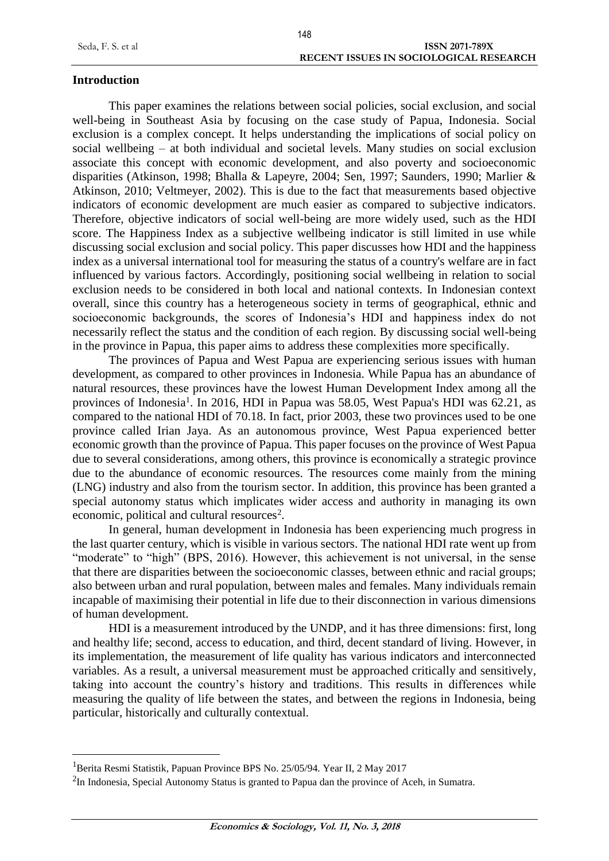#### **Introduction**

1

This paper examines the relations between social policies, social exclusion, and social well-being in Southeast Asia by focusing on the case study of Papua, Indonesia. Social exclusion is a complex concept. It helps understanding the implications of social policy on social wellbeing – at both individual and societal levels. Many studies on social exclusion associate this concept with economic development, and also poverty and socioeconomic disparities (Atkinson, 1998; Bhalla & Lapeyre, 2004; Sen, 1997; Saunders, 1990; Marlier & Atkinson, 2010; Veltmeyer, 2002). This is due to the fact that measurements based objective indicators of economic development are much easier as compared to subjective indicators. Therefore, objective indicators of social well-being are more widely used, such as the HDI score. The Happiness Index as a subjective wellbeing indicator is still limited in use while discussing social exclusion and social policy. This paper discusses how HDI and the happiness index as a universal international tool for measuring the status of a country's welfare are in fact influenced by various factors. Accordingly, positioning social wellbeing in relation to social exclusion needs to be considered in both local and national contexts. In Indonesian context overall, since this country has a heterogeneous society in terms of geographical, ethnic and socioeconomic backgrounds, the scores of Indonesia's HDI and happiness index do not necessarily reflect the status and the condition of each region. By discussing social well-being in the province in Papua, this paper aims to address these complexities more specifically.

The provinces of Papua and West Papua are experiencing serious issues with human development, as compared to other provinces in Indonesia. While Papua has an abundance of natural resources, these provinces have the lowest Human Development Index among all the provinces of Indonesia<sup>1</sup>. In 2016, HDI in Papua was 58.05, West Papua's HDI was 62.21, as compared to the national HDI of 70.18. In fact, prior 2003, these two provinces used to be one province called Irian Jaya. As an autonomous province, West Papua experienced better economic growth than the province of Papua. This paper focuses on the province of West Papua due to several considerations, among others, this province is economically a strategic province due to the abundance of economic resources. The resources come mainly from the mining (LNG) industry and also from the tourism sector. In addition, this province has been granted a special autonomy status which implicates wider access and authority in managing its own economic, political and cultural resources<sup>2</sup>.

In general, human development in Indonesia has been experiencing much progress in the last quarter century, which is visible in various sectors. The national HDI rate went up from "moderate" to "high" (BPS, 2016). However, this achievement is not universal, in the sense that there are disparities between the socioeconomic classes, between ethnic and racial groups; also between urban and rural population, between males and females. Many individuals remain incapable of maximising their potential in life due to their disconnection in various dimensions of human development.

HDI is a measurement introduced by the UNDP, and it has three dimensions: first, long and healthy life; second, access to education, and third, decent standard of living. However, in its implementation, the measurement of life quality has various indicators and interconnected variables. As a result, a universal measurement must be approached critically and sensitively, taking into account the country's history and traditions. This results in differences while measuring the quality of life between the states, and between the regions in Indonesia, being particular, historically and culturally contextual.

<sup>&</sup>lt;sup>1</sup>Berita Resmi Statistik, Papuan Province BPS No. 25/05/94. Year II, 2 May 2017

 $2$ In Indonesia, Special Autonomy Status is granted to Papua dan the province of Aceh, in Sumatra.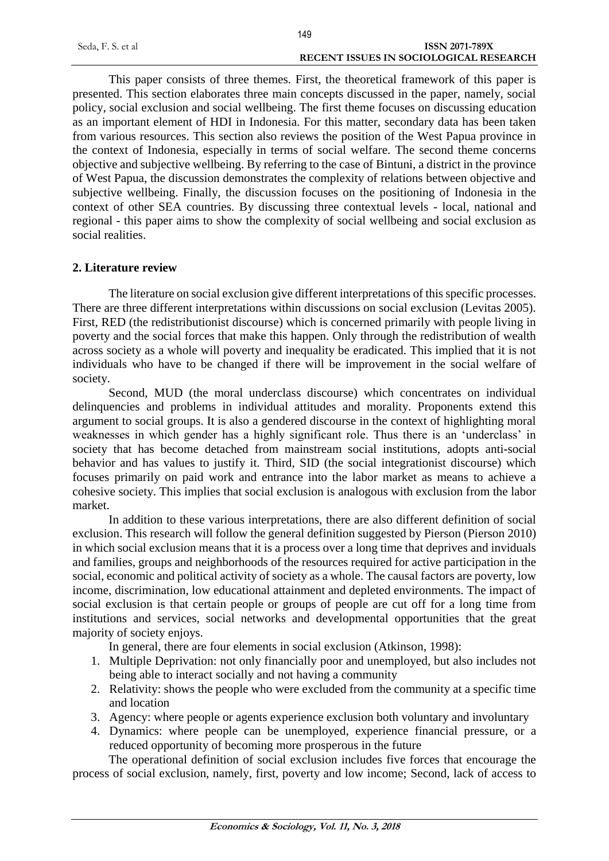|                   | 149                                    |
|-------------------|----------------------------------------|
| Seda, F. S. et al | <b>ISSN 2071-789X</b>                  |
|                   | RECENT ISSUES IN SOCIOLOGICAL RESEARCH |

This paper consists of three themes. First, the theoretical framework of this paper is presented. This section elaborates three main concepts discussed in the paper, namely, social policy, social exclusion and social wellbeing. The first theme focuses on discussing education as an important element of HDI in Indonesia. For this matter, secondary data has been taken from various resources. This section also reviews the position of the West Papua province in the context of Indonesia, especially in terms of social welfare. The second theme concerns objective and subjective wellbeing. By referring to the case of Bintuni, a district in the province of West Papua, the discussion demonstrates the complexity of relations between objective and subjective wellbeing. Finally, the discussion focuses on the positioning of Indonesia in the context of other SEA countries. By discussing three contextual levels - local, national and regional - this paper aims to show the complexity of social wellbeing and social exclusion as social realities.

## **2. Literature review**

The literature on social exclusion give different interpretations of this specific processes. There are three different interpretations within discussions on social exclusion (Levitas 2005). First, RED (the redistributionist discourse) which is concerned primarily with people living in poverty and the social forces that make this happen. Only through the redistribution of wealth across society as a whole will poverty and inequality be eradicated. This implied that it is not individuals who have to be changed if there will be improvement in the social welfare of society.

Second, MUD (the moral underclass discourse) which concentrates on individual delinquencies and problems in individual attitudes and morality. Proponents extend this argument to social groups. It is also a gendered discourse in the context of highlighting moral weaknesses in which gender has a highly significant role. Thus there is an 'underclass' in society that has become detached from mainstream social institutions, adopts anti-social behavior and has values to justify it. Third, SID (the social integrationist discourse) which focuses primarily on paid work and entrance into the labor market as means to achieve a cohesive society. This implies that social exclusion is analogous with exclusion from the labor market.

In addition to these various interpretations, there are also different definition of social exclusion. This research will follow the general definition suggested by Pierson (Pierson 2010) in which social exclusion means that it is a process over a long time that deprives and inviduals and families, groups and neighborhoods of the resources required for active participation in the social, economic and political activity of society as a whole. The causal factors are poverty, low income, discrimination, low educational attainment and depleted environments. The impact of social exclusion is that certain people or groups of people are cut off for a long time from institutions and services, social networks and developmental opportunities that the great majority of society enjoys.

In general, there are four elements in social exclusion (Atkinson, 1998):

- 1. Multiple Deprivation: not only financially poor and unemployed, but also includes not being able to interact socially and not having a community
- 2. Relativity: shows the people who were excluded from the community at a specific time and location
- 3. Agency: where people or agents experience exclusion both voluntary and involuntary
- 4. Dynamics: where people can be unemployed, experience financial pressure, or a reduced opportunity of becoming more prosperous in the future

The operational definition of social exclusion includes five forces that encourage the process of social exclusion, namely, first, poverty and low income; Second, lack of access to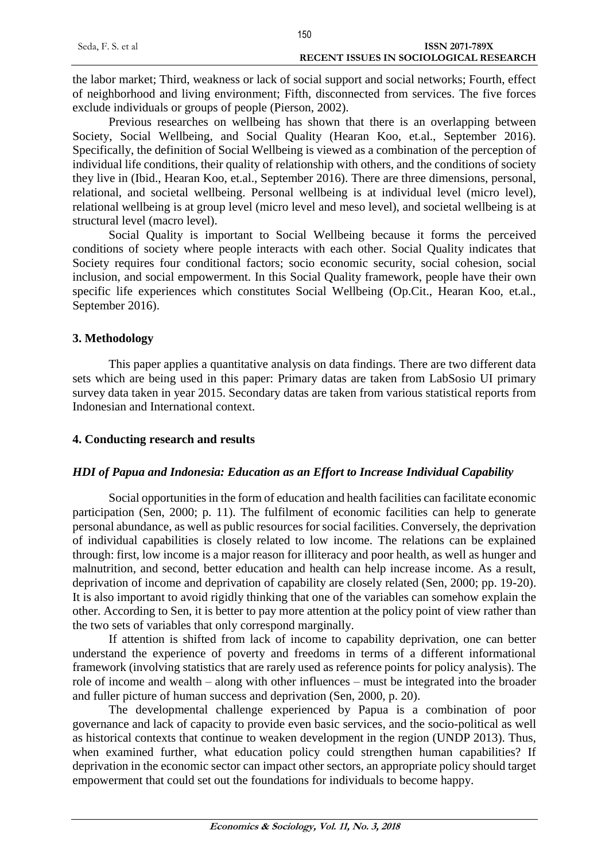|                   | 150                                           |
|-------------------|-----------------------------------------------|
| Seda, F. S. et al | ISSN 2071-789X                                |
|                   | <b>RECENT ISSUES IN SOCIOLOGICAL RESEARCH</b> |

the labor market; Third, weakness or lack of social support and social networks; Fourth, effect of neighborhood and living environment; Fifth, disconnected from services. The five forces exclude individuals or groups of people (Pierson, 2002).

Previous researches on wellbeing has shown that there is an overlapping between Society, Social Wellbeing, and Social Quality (Hearan Koo, et.al., September 2016). Specifically, the definition of Social Wellbeing is viewed as a combination of the perception of individual life conditions, their quality of relationship with others, and the conditions of society they live in (Ibid., Hearan Koo, et.al., September 2016). There are three dimensions, personal, relational, and societal wellbeing. Personal wellbeing is at individual level (micro level), relational wellbeing is at group level (micro level and meso level), and societal wellbeing is at structural level (macro level).

Social Quality is important to Social Wellbeing because it forms the perceived conditions of society where people interacts with each other. Social Quality indicates that Society requires four conditional factors; socio economic security, social cohesion, social inclusion, and social empowerment. In this Social Quality framework, people have their own specific life experiences which constitutes Social Wellbeing (Op.Cit., Hearan Koo, et.al., September 2016).

# **3. Methodology**

This paper applies a quantitative analysis on data findings. There are two different data sets which are being used in this paper: Primary datas are taken from LabSosio UI primary survey data taken in year 2015. Secondary datas are taken from various statistical reports from Indonesian and International context.

## **4. Conducting research and results**

# *HDI of Papua and Indonesia: Education as an Effort to Increase Individual Capability*

Social opportunities in the form of education and health facilities can facilitate economic participation (Sen, 2000; p. 11). The fulfilment of economic facilities can help to generate personal abundance, as well as public resources for social facilities. Conversely, the deprivation of individual capabilities is closely related to low income. The relations can be explained through: first, low income is a major reason for illiteracy and poor health, as well as hunger and malnutrition, and second, better education and health can help increase income. As a result, deprivation of income and deprivation of capability are closely related (Sen, 2000; pp. 19-20). It is also important to avoid rigidly thinking that one of the variables can somehow explain the other. According to Sen, it is better to pay more attention at the policy point of view rather than the two sets of variables that only correspond marginally.

If attention is shifted from lack of income to capability deprivation, one can better understand the experience of poverty and freedoms in terms of a different informational framework (involving statistics that are rarely used as reference points for policy analysis). The role of income and wealth – along with other influences – must be integrated into the broader and fuller picture of human success and deprivation (Sen, 2000, p. 20).

The developmental challenge experienced by Papua is a combination of poor governance and lack of capacity to provide even basic services, and the socio-political as well as historical contexts that continue to weaken development in the region (UNDP 2013). Thus, when examined further, what education policy could strengthen human capabilities? If deprivation in the economic sector can impact other sectors, an appropriate policy should target empowerment that could set out the foundations for individuals to become happy.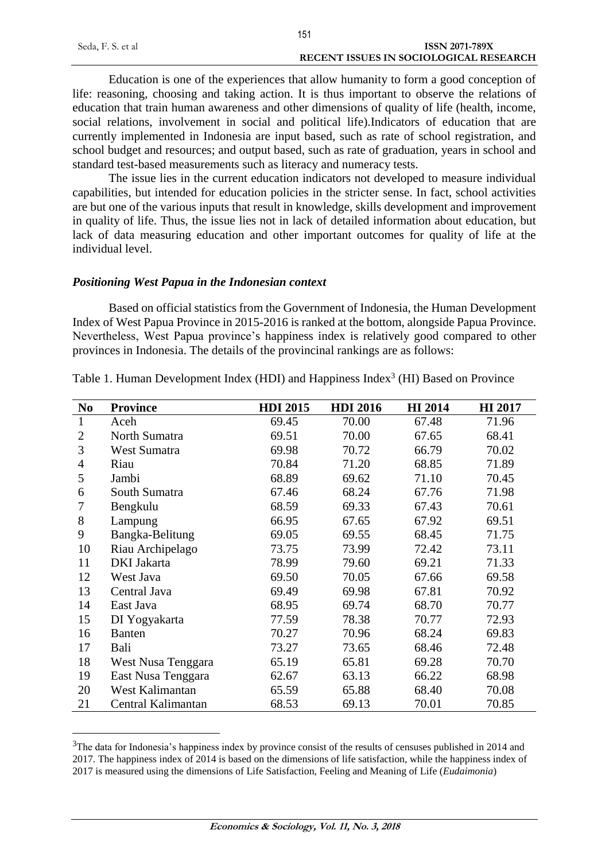|                   | 151                                    |
|-------------------|----------------------------------------|
| Seda, F. S. et al | ISSN 2071-789X                         |
|                   | RECENT ISSUES IN SOCIOLOGICAL RESEARCH |

Education is one of the experiences that allow humanity to form a good conception of life: reasoning, choosing and taking action. It is thus important to observe the relations of education that train human awareness and other dimensions of quality of life (health, income, social relations, involvement in social and political life).Indicators of education that are currently implemented in Indonesia are input based, such as rate of school registration, and school budget and resources; and output based, such as rate of graduation, years in school and standard test-based measurements such as literacy and numeracy tests.

The issue lies in the current education indicators not developed to measure individual capabilities, but intended for education policies in the stricter sense. In fact, school activities are but one of the various inputs that result in knowledge, skills development and improvement in quality of life. Thus, the issue lies not in lack of detailed information about education, but lack of data measuring education and other important outcomes for quality of life at the individual level.

#### *Positioning West Papua in the Indonesian context*

1

Based on official statistics from the Government of Indonesia, the Human Development Index of West Papua Province in 2015-2016 is ranked at the bottom, alongside Papua Province. Nevertheless, West Papua province's happiness index is relatively good compared to other provinces in Indonesia. The details of the provincinal rankings are as follows:

| N <sub>0</sub> | <b>Province</b>     | <b>HDI 2015</b> | <b>HDI 2016</b> | <b>HI</b> 2014 | <b>HI</b> 2017 |
|----------------|---------------------|-----------------|-----------------|----------------|----------------|
| 1              | Aceh                | 69.45           | 70.00           | 67.48          | 71.96          |
| $\overline{2}$ | North Sumatra       | 69.51           | 70.00           | 67.65          | 68.41          |
| 3              | <b>West Sumatra</b> | 69.98           | 70.72           | 66.79          | 70.02          |
| $\overline{4}$ | Riau                | 70.84           | 71.20           | 68.85          | 71.89          |
| 5              | Jambi               | 68.89           | 69.62           | 71.10          | 70.45          |
| 6              | South Sumatra       | 67.46           | 68.24           | 67.76          | 71.98          |
| 7              | Bengkulu            | 68.59           | 69.33           | 67.43          | 70.61          |
| 8              | Lampung             | 66.95           | 67.65           | 67.92          | 69.51          |
| 9              | Bangka-Belitung     | 69.05           | 69.55           | 68.45          | 71.75          |
| 10             | Riau Archipelago    | 73.75           | 73.99           | 72.42          | 73.11          |
| 11             | DKI Jakarta         | 78.99           | 79.60           | 69.21          | 71.33          |
| 12             | West Java           | 69.50           | 70.05           | 67.66          | 69.58          |
| 13             | Central Java        | 69.49           | 69.98           | 67.81          | 70.92          |
| 14             | East Java           | 68.95           | 69.74           | 68.70          | 70.77          |
| 15             | DI Yogyakarta       | 77.59           | 78.38           | 70.77          | 72.93          |
| 16             | <b>Banten</b>       | 70.27           | 70.96           | 68.24          | 69.83          |
| 17             | Bali                | 73.27           | 73.65           | 68.46          | 72.48          |
| 18             | West Nusa Tenggara  | 65.19           | 65.81           | 69.28          | 70.70          |
| 19             | East Nusa Tenggara  | 62.67           | 63.13           | 66.22          | 68.98          |
| 20             | West Kalimantan     | 65.59           | 65.88           | 68.40          | 70.08          |
| 21             | Central Kalimantan  | 68.53           | 69.13           | 70.01          | 70.85          |

Table 1. Human Development Index (HDI) and Happiness Index<sup>3</sup> (HI) Based on Province

<sup>&</sup>lt;sup>3</sup>The data for Indonesia's happiness index by province consist of the results of censuses published in 2014 and 2017. The happiness index of 2014 is based on the dimensions of life satisfaction, while the happiness index of 2017 is measured using the dimensions of Life Satisfaction, Feeling and Meaning of Life (*Eudaimonia*)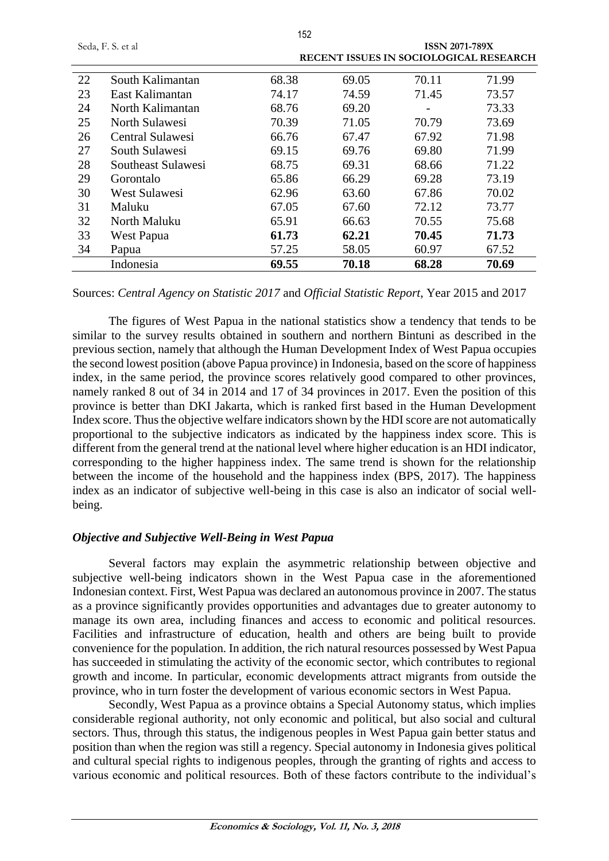| Seda, F. S. et al |                      |       |       | <b>ISSN 2071-789X</b> |                                        |
|-------------------|----------------------|-------|-------|-----------------------|----------------------------------------|
|                   |                      |       |       |                       | RECENT ISSUES IN SOCIOLOGICAL RESEARCH |
| 22                | South Kalimantan     | 68.38 | 69.05 | 70.11                 | 71.99                                  |
| 23                | East Kalimantan      | 74.17 | 74.59 | 71.45                 | 73.57                                  |
| 24                | North Kalimantan     | 68.76 | 69.20 |                       | 73.33                                  |
| 25                | North Sulawesi       | 70.39 | 71.05 | 70.79                 | 73.69                                  |
| 26                | Central Sulawesi     | 66.76 | 67.47 | 67.92                 | 71.98                                  |
| 27                | South Sulawesi       | 69.15 | 69.76 | 69.80                 | 71.99                                  |
| 28                | Southeast Sulawesi   | 68.75 | 69.31 | 68.66                 | 71.22                                  |
| 29                | Gorontalo            | 65.86 | 66.29 | 69.28                 | 73.19                                  |
| 30                | <b>West Sulawesi</b> | 62.96 | 63.60 | 67.86                 | 70.02                                  |
| 31                | Maluku               | 67.05 | 67.60 | 72.12                 | 73.77                                  |
| 32                | North Maluku         | 65.91 | 66.63 | 70.55                 | 75.68                                  |
| 33                | West Papua           | 61.73 | 62.21 | 70.45                 | 71.73                                  |
| 34                | Papua                | 57.25 | 58.05 | 60.97                 | 67.52                                  |
|                   | Indonesia            | 69.55 | 70.18 | 68.28                 | 70.69                                  |

Sources: *Central Agency on Statistic 2017* and *Official Statistic Report*, Year 2015 and 2017

The figures of West Papua in the national statistics show a tendency that tends to be similar to the survey results obtained in southern and northern Bintuni as described in the previous section, namely that although the Human Development Index of West Papua occupies the second lowest position (above Papua province) in Indonesia, based on the score of happiness index, in the same period, the province scores relatively good compared to other provinces, namely ranked 8 out of 34 in 2014 and 17 of 34 provinces in 2017. Even the position of this province is better than DKI Jakarta, which is ranked first based in the Human Development Index score. Thus the objective welfare indicators shown by the HDI score are not automatically proportional to the subjective indicators as indicated by the happiness index score. This is different from the general trend at the national level where higher education is an HDI indicator, corresponding to the higher happiness index. The same trend is shown for the relationship between the income of the household and the happiness index (BPS, 2017). The happiness index as an indicator of subjective well-being in this case is also an indicator of social wellbeing.

## *Objective and Subjective Well-Being in West Papua*

Several factors may explain the asymmetric relationship between objective and subjective well-being indicators shown in the West Papua case in the aforementioned Indonesian context. First, West Papua was declared an autonomous province in 2007. The status as a province significantly provides opportunities and advantages due to greater autonomy to manage its own area, including finances and access to economic and political resources. Facilities and infrastructure of education, health and others are being built to provide convenience for the population. In addition, the rich natural resources possessed by West Papua has succeeded in stimulating the activity of the economic sector, which contributes to regional growth and income. In particular, economic developments attract migrants from outside the province, who in turn foster the development of various economic sectors in West Papua.

Secondly, West Papua as a province obtains a Special Autonomy status, which implies considerable regional authority, not only economic and political, but also social and cultural sectors. Thus, through this status, the indigenous peoples in West Papua gain better status and position than when the region was still a regency. Special autonomy in Indonesia gives political and cultural special rights to indigenous peoples, through the granting of rights and access to various economic and political resources. Both of these factors contribute to the individual's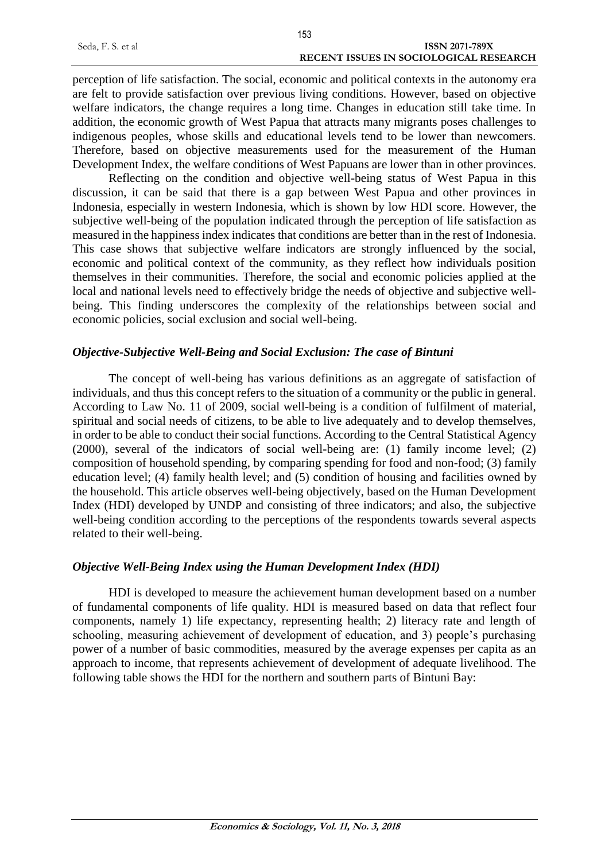|                   | 153                                           |
|-------------------|-----------------------------------------------|
| Seda, F. S. et al | <b>ISSN 2071-789X</b>                         |
|                   | <b>RECENT ISSUES IN SOCIOLOGICAL RESEARCH</b> |

perception of life satisfaction. The social, economic and political contexts in the autonomy era are felt to provide satisfaction over previous living conditions. However, based on objective welfare indicators, the change requires a long time. Changes in education still take time. In addition, the economic growth of West Papua that attracts many migrants poses challenges to indigenous peoples, whose skills and educational levels tend to be lower than newcomers. Therefore, based on objective measurements used for the measurement of the Human Development Index, the welfare conditions of West Papuans are lower than in other provinces.

Reflecting on the condition and objective well-being status of West Papua in this discussion, it can be said that there is a gap between West Papua and other provinces in Indonesia, especially in western Indonesia, which is shown by low HDI score. However, the subjective well-being of the population indicated through the perception of life satisfaction as measured in the happiness index indicates that conditions are better than in the rest of Indonesia. This case shows that subjective welfare indicators are strongly influenced by the social, economic and political context of the community, as they reflect how individuals position themselves in their communities. Therefore, the social and economic policies applied at the local and national levels need to effectively bridge the needs of objective and subjective wellbeing. This finding underscores the complexity of the relationships between social and economic policies, social exclusion and social well-being.

# *Objective-Subjective Well-Being and Social Exclusion: The case of Bintuni*

The concept of well-being has various definitions as an aggregate of satisfaction of individuals, and thus this concept refers to the situation of a community or the public in general. According to Law No. 11 of 2009, social well-being is a condition of fulfilment of material, spiritual and social needs of citizens, to be able to live adequately and to develop themselves, in order to be able to conduct their social functions. According to the Central Statistical Agency (2000), several of the indicators of social well-being are: (1) family income level; (2) composition of household spending, by comparing spending for food and non-food; (3) family education level; (4) family health level; and (5) condition of housing and facilities owned by the household. This article observes well-being objectively, based on the Human Development Index (HDI) developed by UNDP and consisting of three indicators; and also, the subjective well-being condition according to the perceptions of the respondents towards several aspects related to their well-being.

# *Objective Well-Being Index using the Human Development Index (HDI)*

HDI is developed to measure the achievement human development based on a number of fundamental components of life quality. HDI is measured based on data that reflect four components, namely 1) life expectancy, representing health; 2) literacy rate and length of schooling, measuring achievement of development of education, and 3) people's purchasing power of a number of basic commodities, measured by the average expenses per capita as an approach to income, that represents achievement of development of adequate livelihood. The following table shows the HDI for the northern and southern parts of Bintuni Bay: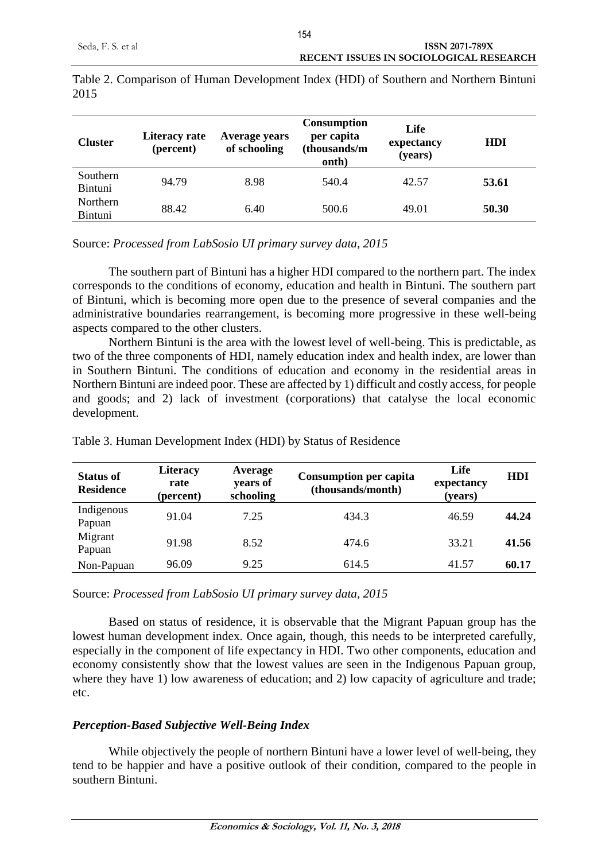| <b>Cluster</b>                    | Literacy rate<br>(percent) | Average years<br>of schooling | <b>Consumption</b><br>per capita<br>(thousands/m<br>onth) | Life<br>expectancy<br>(years) | HDI   |
|-----------------------------------|----------------------------|-------------------------------|-----------------------------------------------------------|-------------------------------|-------|
| Southern<br><b>Bintuni</b>        | 94.79                      | 8.98                          | 540.4                                                     | 42.57                         | 53.61 |
| <b>Northern</b><br><b>Bintuni</b> | 88.42                      | 6.40                          | 500.6                                                     | 49.01                         | 50.30 |

Table 2. Comparison of Human Development Index (HDI) of Southern and Northern Bintuni 2015

Source: *Processed from LabSosio UI primary survey data, 2015*

The southern part of Bintuni has a higher HDI compared to the northern part. The index corresponds to the conditions of economy, education and health in Bintuni. The southern part of Bintuni, which is becoming more open due to the presence of several companies and the administrative boundaries rearrangement, is becoming more progressive in these well-being aspects compared to the other clusters.

Northern Bintuni is the area with the lowest level of well-being. This is predictable, as two of the three components of HDI, namely education index and health index, are lower than in Southern Bintuni. The conditions of education and economy in the residential areas in Northern Bintuni are indeed poor. These are affected by 1) difficult and costly access, for people and goods; and 2) lack of investment (corporations) that catalyse the local economic development.

| <b>Status of</b><br><b>Residence</b> | <b>Literacy</b><br>rate<br>(percent) | Average<br>years of<br>schooling | <b>Consumption per capita</b><br>(thousands/month) | Life<br>expectancy<br>(years) | <b>HDI</b> |
|--------------------------------------|--------------------------------------|----------------------------------|----------------------------------------------------|-------------------------------|------------|
| Indigenous<br>Papuan                 | 91.04                                | 7.25                             | 434.3                                              | 46.59                         | 44.24      |
| Migrant<br>Papuan                    | 91.98                                | 8.52                             | 474.6                                              | 33.21                         | 41.56      |
| Non-Papuan                           | 96.09                                | 9.25                             | 614.5                                              | 41.57                         | 60.17      |

Table 3. Human Development Index (HDI) by Status of Residence

Source: *Processed from LabSosio UI primary survey data, 2015*

Based on status of residence, it is observable that the Migrant Papuan group has the lowest human development index. Once again, though, this needs to be interpreted carefully, especially in the component of life expectancy in HDI. Two other components, education and economy consistently show that the lowest values are seen in the Indigenous Papuan group, where they have 1) low awareness of education; and 2) low capacity of agriculture and trade; etc.

## *Perception-Based Subjective Well-Being Index*

While objectively the people of northern Bintuni have a lower level of well-being, they tend to be happier and have a positive outlook of their condition, compared to the people in southern Bintuni.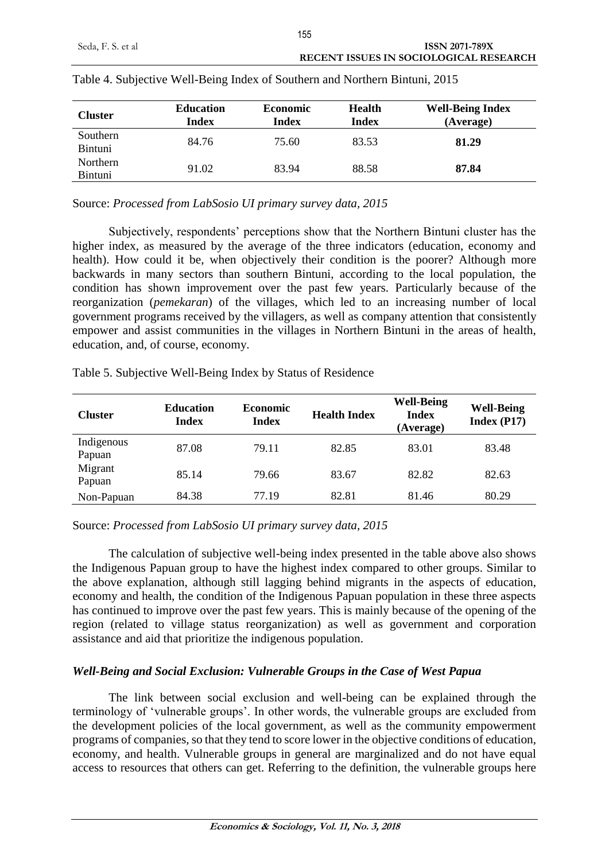| Cluster             | <b>Education</b><br><b>Index</b> | <b>Economic</b><br><b>Index</b> | <b>Health</b><br><b>Index</b> | <b>Well-Being Index</b><br>(Average) |
|---------------------|----------------------------------|---------------------------------|-------------------------------|--------------------------------------|
| Southern<br>Bintuni | 84.76                            | 75.60                           | 83.53                         | 81.29                                |
| Northern<br>Bintuni | 91.02                            | 83.94                           | 88.58                         | 87.84                                |

|  |  |  | Table 4. Subjective Well-Being Index of Southern and Northern Bintuni, 2015 |
|--|--|--|-----------------------------------------------------------------------------|
|  |  |  |                                                                             |

Source: *Processed from LabSosio UI primary survey data, 2015*

Subjectively, respondents' perceptions show that the Northern Bintuni cluster has the higher index, as measured by the average of the three indicators (education, economy and health). How could it be, when objectively their condition is the poorer? Although more backwards in many sectors than southern Bintuni, according to the local population, the condition has shown improvement over the past few years. Particularly because of the reorganization (*pemekaran*) of the villages, which led to an increasing number of local government programs received by the villagers, as well as company attention that consistently empower and assist communities in the villages in Northern Bintuni in the areas of health, education, and, of course, economy.

|                           | <b>Education</b> | <b>Economic</b> |                                  | <b>Well-Being</b> |
|---------------------------|------------------|-----------------|----------------------------------|-------------------|
| $\Gamma$ <sub>ucton</sub> |                  |                 | $\mathbf{u}_{\text{coll}}$ Index | Inclov            |

| <b>Cluster</b>       | <b>Education</b><br><b>Index</b> | <b>Economic</b><br><b>Index</b> | <b>Health Index</b> | <b>Well-Being</b><br><b>Index</b><br>(Average) | <b>Well-Being</b><br>Index (P17) |
|----------------------|----------------------------------|---------------------------------|---------------------|------------------------------------------------|----------------------------------|
| Indigenous<br>Papuan | 87.08                            | 79.11                           | 82.85               | 83.01                                          | 83.48                            |
| Migrant<br>Papuan    | 85.14                            | 79.66                           | 83.67               | 82.82                                          | 82.63                            |
| Non-Papuan           | 84.38                            | 77.19                           | 82.81               | 81.46                                          | 80.29                            |

Source: *Processed from LabSosio UI primary survey data, 2015*

Table 5. Subjective Well-Being Index by Status of Residence

The calculation of subjective well-being index presented in the table above also shows the Indigenous Papuan group to have the highest index compared to other groups. Similar to the above explanation, although still lagging behind migrants in the aspects of education, economy and health, the condition of the Indigenous Papuan population in these three aspects has continued to improve over the past few years. This is mainly because of the opening of the region (related to village status reorganization) as well as government and corporation assistance and aid that prioritize the indigenous population.

# *Well-Being and Social Exclusion: Vulnerable Groups in the Case of West Papua*

The link between social exclusion and well-being can be explained through the terminology of 'vulnerable groups'. In other words, the vulnerable groups are excluded from the development policies of the local government, as well as the community empowerment programs of companies, so that they tend to score lower in the objective conditions of education, economy, and health. Vulnerable groups in general are marginalized and do not have equal access to resources that others can get. Referring to the definition, the vulnerable groups here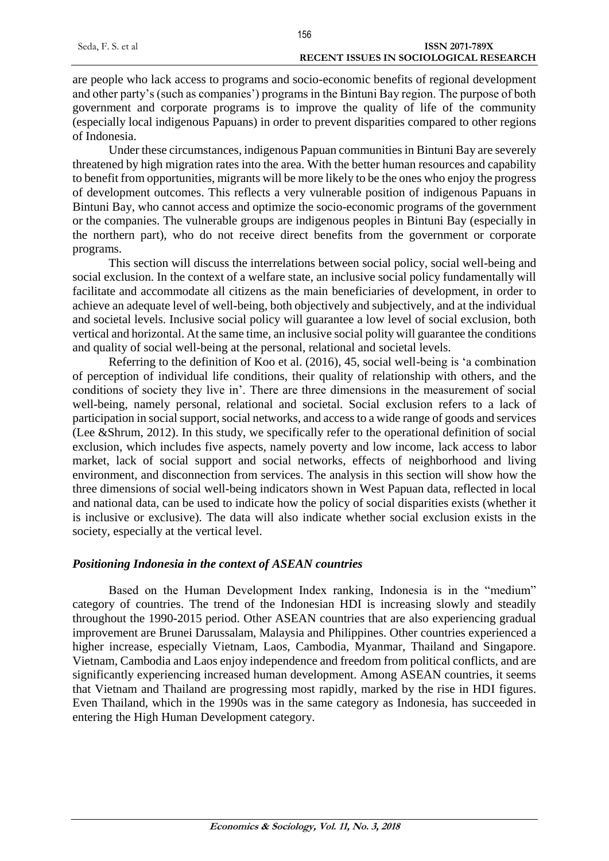are people who lack access to programs and socio-economic benefits of regional development and other party's (such as companies') programs in the Bintuni Bay region. The purpose of both government and corporate programs is to improve the quality of life of the community (especially local indigenous Papuans) in order to prevent disparities compared to other regions of Indonesia.

Under these circumstances, indigenous Papuan communities in Bintuni Bay are severely threatened by high migration rates into the area. With the better human resources and capability to benefit from opportunities, migrants will be more likely to be the ones who enjoy the progress of development outcomes. This reflects a very vulnerable position of indigenous Papuans in Bintuni Bay, who cannot access and optimize the socio-economic programs of the government or the companies. The vulnerable groups are indigenous peoples in Bintuni Bay (especially in the northern part), who do not receive direct benefits from the government or corporate programs.

This section will discuss the interrelations between social policy, social well-being and social exclusion. In the context of a welfare state, an inclusive social policy fundamentally will facilitate and accommodate all citizens as the main beneficiaries of development, in order to achieve an adequate level of well-being, both objectively and subjectively, and at the individual and societal levels. Inclusive social policy will guarantee a low level of social exclusion, both vertical and horizontal. At the same time, an inclusive social polity will guarantee the conditions and quality of social well-being at the personal, relational and societal levels.

Referring to the definition of Koo et al. (2016), 45, social well-being is 'a combination of perception of individual life conditions, their quality of relationship with others, and the conditions of society they live in'. There are three dimensions in the measurement of social well-being, namely personal, relational and societal. Social exclusion refers to a lack of participation in social support, social networks, and access to a wide range of goods and services (Lee &Shrum, 2012). In this study, we specifically refer to the operational definition of social exclusion, which includes five aspects, namely poverty and low income, lack access to labor market, lack of social support and social networks, effects of neighborhood and living environment, and disconnection from services. The analysis in this section will show how the three dimensions of social well-being indicators shown in West Papuan data, reflected in local and national data, can be used to indicate how the policy of social disparities exists (whether it is inclusive or exclusive). The data will also indicate whether social exclusion exists in the society, especially at the vertical level.

## *Positioning Indonesia in the context of ASEAN countries*

Based on the Human Development Index ranking, Indonesia is in the "medium" category of countries. The trend of the Indonesian HDI is increasing slowly and steadily throughout the 1990-2015 period. Other ASEAN countries that are also experiencing gradual improvement are Brunei Darussalam, Malaysia and Philippines. Other countries experienced a higher increase, especially Vietnam, Laos, Cambodia, Myanmar, Thailand and Singapore. Vietnam, Cambodia and Laos enjoy independence and freedom from political conflicts, and are significantly experiencing increased human development. Among ASEAN countries, it seems that Vietnam and Thailand are progressing most rapidly, marked by the rise in HDI figures. Even Thailand, which in the 1990s was in the same category as Indonesia, has succeeded in entering the High Human Development category.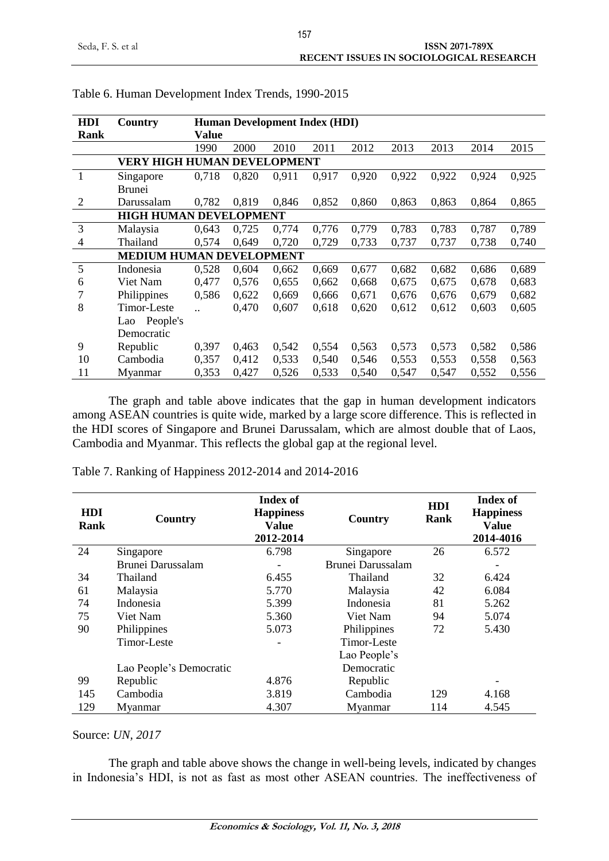| <b>HDI</b>                         | Country         | <b>Human Development Index (HDI)</b> |       |       |       |       |       |       |       |       |  |  |
|------------------------------------|-----------------|--------------------------------------|-------|-------|-------|-------|-------|-------|-------|-------|--|--|
| Rank                               |                 | Value                                |       |       |       |       |       |       |       |       |  |  |
|                                    |                 | 1990                                 | 2000  | 2010  | 2011  | 2012  | 2013  | 2013  | 2014  | 2015  |  |  |
| <b>VERY HIGH HUMAN DEVELOPMENT</b> |                 |                                      |       |       |       |       |       |       |       |       |  |  |
| $\mathbf{1}$                       | Singapore       | 0,718                                | 0,820 | 0,911 | 0,917 | 0,920 | 0,922 | 0,922 | 0,924 | 0,925 |  |  |
|                                    | <b>Brunei</b>   |                                      |       |       |       |       |       |       |       |       |  |  |
| 2                                  | Darussalam      | 0,782                                | 0,819 | 0,846 | 0,852 | 0,860 | 0,863 | 0,863 | 0,864 | 0,865 |  |  |
| <b>HIGH HUMAN DEVELOPMENT</b>      |                 |                                      |       |       |       |       |       |       |       |       |  |  |
| 3                                  | Malaysia        | 0.643                                | 0,725 | 0,774 | 0,776 | 0,779 | 0,783 | 0,783 | 0,787 | 0,789 |  |  |
| 4                                  | Thailand        | 0,574                                | 0,649 | 0,720 | 0,729 | 0,733 | 0,737 | 0,737 | 0,738 | 0,740 |  |  |
| <b>MEDIUM HUMAN DEVELOPMENT</b>    |                 |                                      |       |       |       |       |       |       |       |       |  |  |
| 5                                  | Indonesia       | 0,528                                | 0,604 | 0,662 | 0,669 | 0,677 | 0,682 | 0,682 | 0,686 | 0,689 |  |  |
| 6                                  | Viet Nam        | 0,477                                | 0,576 | 0,655 | 0,662 | 0,668 | 0,675 | 0,675 | 0,678 | 0,683 |  |  |
| 7                                  | Philippines     | 0,586                                | 0,622 | 0,669 | 0,666 | 0,671 | 0,676 | 0,676 | 0,679 | 0,682 |  |  |
| 8                                  | Timor-Leste     | $\ddot{\phantom{a}}$                 | 0,470 | 0,607 | 0,618 | 0,620 | 0,612 | 0,612 | 0,603 | 0,605 |  |  |
|                                    | People's<br>Lao |                                      |       |       |       |       |       |       |       |       |  |  |
|                                    | Democratic      |                                      |       |       |       |       |       |       |       |       |  |  |
| 9                                  | Republic        | 0,397                                | 0,463 | 0,542 | 0,554 | 0,563 | 0,573 | 0,573 | 0,582 | 0,586 |  |  |
| 10                                 | Cambodia        | 0,357                                | 0,412 | 0,533 | 0,540 | 0,546 | 0,553 | 0,553 | 0,558 | 0,563 |  |  |
| 11                                 | Myanmar         | 0,353                                | 0,427 | 0,526 | 0,533 | 0,540 | 0,547 | 0,547 | 0,552 | 0,556 |  |  |

#### Table 6. Human Development Index Trends, 1990-2015

The graph and table above indicates that the gap in human development indicators among ASEAN countries is quite wide, marked by a large score difference. This is reflected in the HDI scores of Singapore and Brunei Darussalam, which are almost double that of Laos, Cambodia and Myanmar. This reflects the global gap at the regional level.

Table 7. Ranking of Happiness 2012-2014 and 2014-2016

| <b>HDI</b><br>Rank | Country                 | <b>Index of</b><br><b>Happiness</b><br><b>Value</b><br>2012-2014 | Country           | <b>HDI</b><br>Rank | <b>Index of</b><br><b>Happiness</b><br><b>Value</b><br>2014-4016 |
|--------------------|-------------------------|------------------------------------------------------------------|-------------------|--------------------|------------------------------------------------------------------|
| 24                 | Singapore               | 6.798                                                            | Singapore         | 26                 | 6.572                                                            |
|                    | Brunei Darussalam       |                                                                  | Brunei Darussalam |                    |                                                                  |
| 34                 | Thailand                | 6.455                                                            | Thailand          | 32                 | 6.424                                                            |
| 61                 | Malaysia                | 5.770                                                            | Malaysia          | 42                 | 6.084                                                            |
| 74                 | Indonesia               | 5.399                                                            | Indonesia         | 81                 | 5.262                                                            |
| 75                 | Viet Nam                | 5.360                                                            | Viet Nam          | 94                 | 5.074                                                            |
| 90                 | Philippines             | 5.073                                                            | Philippines       | 72                 | 5.430                                                            |
|                    | Timor-Leste             |                                                                  | Timor-Leste       |                    |                                                                  |
|                    |                         |                                                                  | Lao People's      |                    |                                                                  |
|                    | Lao People's Democratic |                                                                  | Democratic        |                    |                                                                  |
| 99                 | Republic                | 4.876                                                            | Republic          |                    |                                                                  |
| 145                | Cambodia                | 3.819                                                            | Cambodia          | 129                | 4.168                                                            |
| 129                | Myanmar                 | 4.307                                                            | Myanmar           | 114                | 4.545                                                            |

#### Source: *UN, 2017*

The graph and table above shows the change in well-being levels, indicated by changes in Indonesia's HDI, is not as fast as most other ASEAN countries. The ineffectiveness of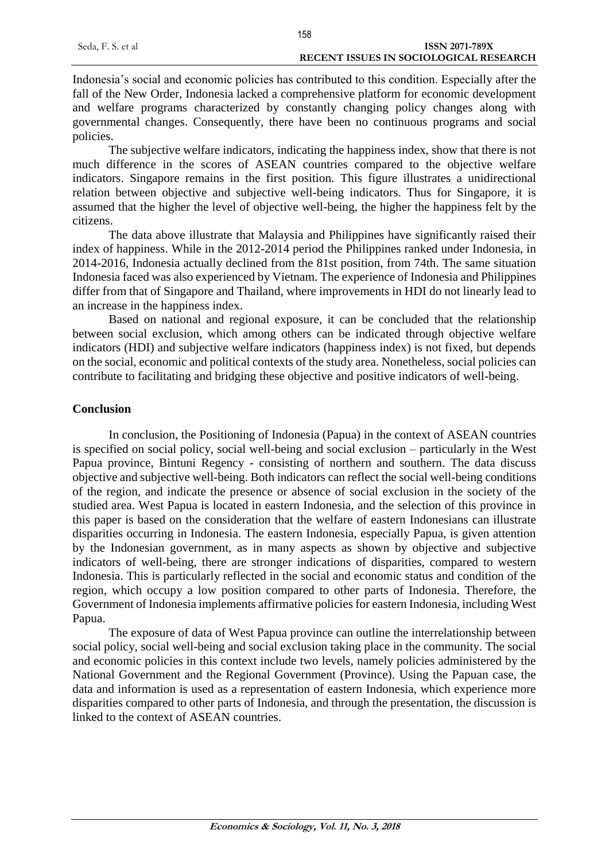Indonesia's social and economic policies has contributed to this condition. Especially after the fall of the New Order, Indonesia lacked a comprehensive platform for economic development and welfare programs characterized by constantly changing policy changes along with governmental changes. Consequently, there have been no continuous programs and social policies.

The subjective welfare indicators, indicating the happiness index, show that there is not much difference in the scores of ASEAN countries compared to the objective welfare indicators. Singapore remains in the first position. This figure illustrates a unidirectional relation between objective and subjective well-being indicators. Thus for Singapore, it is assumed that the higher the level of objective well-being, the higher the happiness felt by the citizens.

The data above illustrate that Malaysia and Philippines have significantly raised their index of happiness. While in the 2012-2014 period the Philippines ranked under Indonesia, in 2014-2016, Indonesia actually declined from the 81st position, from 74th. The same situation Indonesia faced was also experienced by Vietnam. The experience of Indonesia and Philippines differ from that of Singapore and Thailand, where improvements in HDI do not linearly lead to an increase in the happiness index.

Based on national and regional exposure, it can be concluded that the relationship between social exclusion, which among others can be indicated through objective welfare indicators (HDI) and subjective welfare indicators (happiness index) is not fixed, but depends on the social, economic and political contexts of the study area. Nonetheless, social policies can contribute to facilitating and bridging these objective and positive indicators of well-being.

# **Conclusion**

In conclusion, the Positioning of Indonesia (Papua) in the context of ASEAN countries is specified on social policy, social well-being and social exclusion – particularly in the West Papua province, Bintuni Regency - consisting of northern and southern. The data discuss objective and subjective well-being. Both indicators can reflect the social well-being conditions of the region, and indicate the presence or absence of social exclusion in the society of the studied area. West Papua is located in eastern Indonesia, and the selection of this province in this paper is based on the consideration that the welfare of eastern Indonesians can illustrate disparities occurring in Indonesia. The eastern Indonesia, especially Papua, is given attention by the Indonesian government, as in many aspects as shown by objective and subjective indicators of well-being, there are stronger indications of disparities, compared to western Indonesia. This is particularly reflected in the social and economic status and condition of the region, which occupy a low position compared to other parts of Indonesia. Therefore, the Government of Indonesia implements affirmative policies for eastern Indonesia, including West Papua.

The exposure of data of West Papua province can outline the interrelationship between social policy, social well-being and social exclusion taking place in the community. The social and economic policies in this context include two levels, namely policies administered by the National Government and the Regional Government (Province). Using the Papuan case, the data and information is used as a representation of eastern Indonesia, which experience more disparities compared to other parts of Indonesia, and through the presentation, the discussion is linked to the context of ASEAN countries.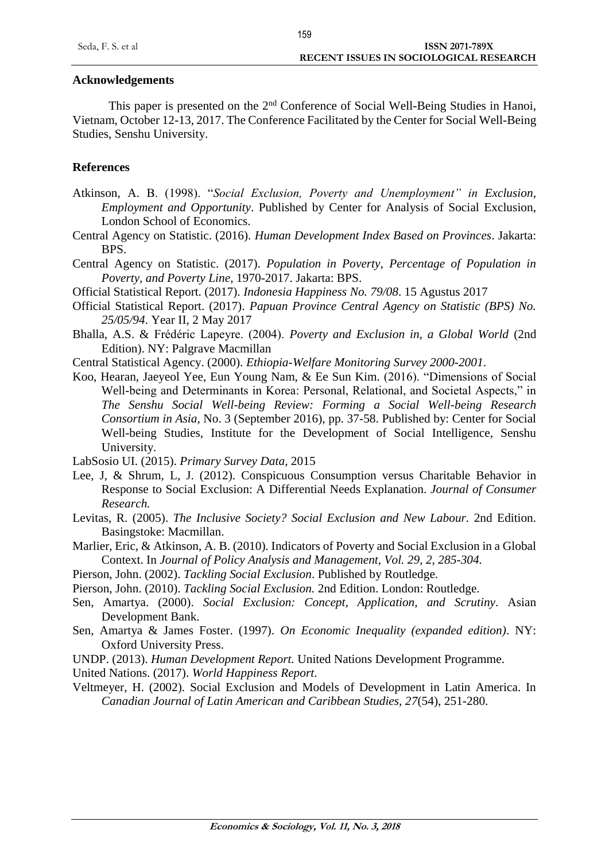## **Acknowledgements**

This paper is presented on the 2nd Conference of Social Well-Being Studies in Hanoi, Vietnam, October 12-13, 2017. The Conference Facilitated by the Center for Social Well-Being Studies, Senshu University.

## **References**

- Atkinson, A. B. (1998). "*Social Exclusion, Poverty and Unemployment" in Exclusion, Employment and Opportunity*. Published by Center for Analysis of Social Exclusion, London School of Economics.
- Central Agency on Statistic. (2016). *Human Development Index Based on Provinces*. Jakarta: BPS.
- Central Agency on Statistic. (2017). *Population in Poverty, Percentage of Population in Poverty, and Poverty Line*, 1970-2017. Jakarta: BPS.
- Official Statistical Report. (2017). *Indonesia Happiness No. 79/08*. 15 Agustus 2017
- Official Statistical Report. (2017). *Papuan Province Central Agency on Statistic (BPS) No. 25/05/94*. Year II, 2 May 2017
- Bhalla, A.S. & Frédéric Lapeyre. (2004). *Poverty and Exclusion in, a Global World* (2nd Edition). NY: Palgrave Macmillan
- Central Statistical Agency. (2000). *Ethiopia-Welfare Monitoring Survey 2000-2001*.
- Koo, Hearan, Jaeyeol Yee, Eun Young Nam, & Ee Sun Kim. (2016). "Dimensions of Social Well-being and Determinants in Korea: Personal, Relational, and Societal Aspects," in *The Senshu Social Well-being Review: Forming a Social Well-being Research Consortium in Asia,* No. 3 (September 2016), pp. 37-58. Published by: Center for Social Well-being Studies, Institute for the Development of Social Intelligence, Senshu University.

LabSosio UI. (2015). *Primary Survey Data*, 2015

- Lee, J, & Shrum, L, J. (2012). Conspicuous Consumption versus Charitable Behavior in Response to Social Exclusion: A Differential Needs Explanation. *Journal of Consumer Research.*
- Levitas, R. (2005). *The Inclusive Society? Social Exclusion and New Labour.* 2nd Edition. Basingstoke: Macmillan.
- Marlier, Eric, & Atkinson, A. B. (2010). Indicators of Poverty and Social Exclusion in a Global Context. In *Journal of Policy Analysis and Management, Vol. 29, 2, 285-304.*
- Pierson, John. (2002). *Tackling Social Exclusion*. Published by Routledge.
- Pierson, John. (2010). *Tackling Social Exclusion.* 2nd Edition. London: Routledge.
- Sen, Amartya. (2000). *Social Exclusion: Concept, Application, and Scrutiny*. Asian Development Bank.
- Sen, Amartya & James Foster. (1997). *On Economic Inequality (expanded edition)*. NY: Oxford University Press.
- UNDP. (2013). *Human Development Report.* United Nations Development Programme.
- United Nations. (2017). *World Happiness Report*.
- Veltmeyer, H. (2002). Social Exclusion and Models of Development in Latin America. In *Canadian Journal of Latin American and Caribbean Studies, 27*(54), 251-280.